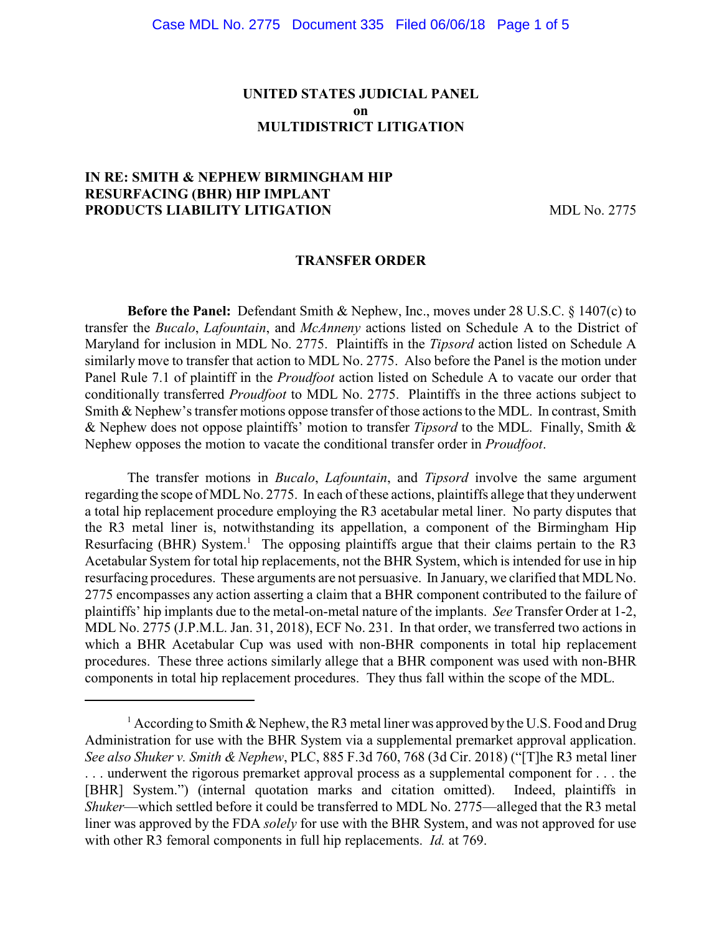## **UNITED STATES JUDICIAL PANEL on MULTIDISTRICT LITIGATION**

### **IN RE: SMITH & NEPHEW BIRMINGHAM HIP RESURFACING (BHR) HIP IMPLANT PRODUCTS LIABILITY LITIGATION** MDL No. 2775

#### **TRANSFER ORDER**

**Before the Panel:** Defendant Smith & Nephew, Inc., moves under 28 U.S.C. § 1407(c) to transfer the *Bucalo*, *Lafountain*, and *McAnneny* actions listed on Schedule A to the District of Maryland for inclusion in MDL No. 2775. Plaintiffs in the *Tipsord* action listed on Schedule A similarly move to transfer that action to MDL No. 2775. Also before the Panel is the motion under Panel Rule 7.1 of plaintiff in the *Proudfoot* action listed on Schedule A to vacate our order that conditionally transferred *Proudfoot* to MDL No. 2775. Plaintiffs in the three actions subject to Smith & Nephew's transfer motions oppose transfer of those actions to the MDL. In contrast, Smith & Nephew does not oppose plaintiffs' motion to transfer *Tipsord* to the MDL. Finally, Smith & Nephew opposes the motion to vacate the conditional transfer order in *Proudfoot*.

The transfer motions in *Bucalo*, *Lafountain*, and *Tipsord* involve the same argument regarding the scope of MDL No. 2775. In each of these actions, plaintiffs allege that they underwent a total hip replacement procedure employing the R3 acetabular metal liner. No party disputes that the R3 metal liner is, notwithstanding its appellation, a component of the Birmingham Hip Resurfacing (BHR) System.<sup>1</sup> The opposing plaintiffs argue that their claims pertain to the R3 Acetabular System for total hip replacements, not the BHR System, which is intended for use in hip resurfacing procedures. These arguments are not persuasive. In January, we clarified that MDLNo. 2775 encompasses any action asserting a claim that a BHR component contributed to the failure of plaintiffs' hip implants due to the metal-on-metal nature of the implants. *See* Transfer Order at 1-2, MDL No. 2775 (J.P.M.L. Jan. 31, 2018), ECF No. 231. In that order, we transferred two actions in which a BHR Acetabular Cup was used with non-BHR components in total hip replacement procedures. These three actions similarly allege that a BHR component was used with non-BHR components in total hip replacement procedures. They thus fall within the scope of the MDL.

<sup>&</sup>lt;sup>1</sup> According to Smith & Nephew, the R3 metal liner was approved by the U.S. Food and Drug Administration for use with the BHR System via a supplemental premarket approval application. *See also Shuker v. Smith & Nephew*, PLC, 885 F.3d 760, 768 (3d Cir. 2018) ("[T]he R3 metal liner . . . underwent the rigorous premarket approval process as a supplemental component for . . . the [BHR] System.") (internal quotation marks and citation omitted). Indeed, plaintiffs in *Shuker*—which settled before it could be transferred to MDL No. 2775—alleged that the R3 metal liner was approved by the FDA *solely* for use with the BHR System, and was not approved for use with other R3 femoral components in full hip replacements. *Id.* at 769.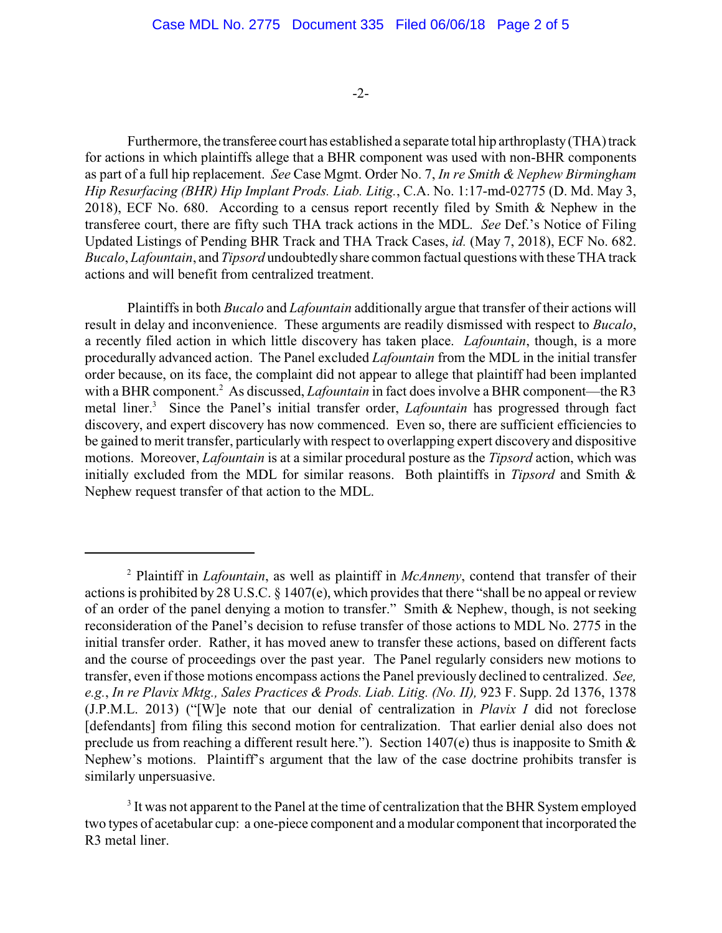#### -2-

Furthermore, the transferee court has established a separate total hip arthroplasty (THA) track for actions in which plaintiffs allege that a BHR component was used with non-BHR components as part of a full hip replacement. *See* Case Mgmt. Order No. 7, *In re Smith & Nephew Birmingham Hip Resurfacing (BHR) Hip Implant Prods. Liab. Litig.*, C.A. No. 1:17-md-02775 (D. Md. May 3, 2018), ECF No. 680. According to a census report recently filed by Smith & Nephew in the transferee court, there are fifty such THA track actions in the MDL. *See* Def.'s Notice of Filing Updated Listings of Pending BHR Track and THA Track Cases, *id.* (May 7, 2018), ECF No. 682. *Bucalo*, *Lafountain*, and *Tipsord* undoubtedlyshare common factual questions with these THA track actions and will benefit from centralized treatment.

Plaintiffs in both *Bucalo* and *Lafountain* additionally argue that transfer of their actions will result in delay and inconvenience. These arguments are readily dismissed with respect to *Bucalo*, a recently filed action in which little discovery has taken place. *Lafountain*, though, is a more procedurally advanced action. The Panel excluded *Lafountain* from the MDL in the initial transfer order because, on its face, the complaint did not appear to allege that plaintiff had been implanted with a BHR component.<sup>2</sup> As discussed, *Lafountain* in fact does involve a BHR component—the R3 metal liner.<sup>3</sup> Since the Panel's initial transfer order, *Lafountain* has progressed through fact discovery, and expert discovery has now commenced. Even so, there are sufficient efficiencies to be gained to merit transfer, particularly with respect to overlapping expert discovery and dispositive motions. Moreover, *Lafountain* is at a similar procedural posture as the *Tipsord* action, which was initially excluded from the MDL for similar reasons. Both plaintiffs in *Tipsord* and Smith & Nephew request transfer of that action to the MDL.

<sup>&</sup>lt;sup>2</sup> Plaintiff in *Lafountain*, as well as plaintiff in *McAnneny*, contend that transfer of their actions is prohibited by 28 U.S.C. § 1407(e), which provides that there "shall be no appeal or review of an order of the panel denying a motion to transfer." Smith & Nephew, though, is not seeking reconsideration of the Panel's decision to refuse transfer of those actions to MDL No. 2775 in the initial transfer order. Rather, it has moved anew to transfer these actions, based on different facts and the course of proceedings over the past year. The Panel regularly considers new motions to transfer, even if those motions encompass actions the Panel previously declined to centralized. *See, e.g.*, *In re Plavix Mktg., Sales Practices & Prods. Liab. Litig. (No. II),* 923 F. Supp. 2d 1376, 1378 (J.P.M.L. 2013) ("[W]e note that our denial of centralization in *Plavix I* did not foreclose [defendants] from filing this second motion for centralization. That earlier denial also does not preclude us from reaching a different result here."). Section 1407(e) thus is inapposite to Smith  $\&$ Nephew's motions. Plaintiff's argument that the law of the case doctrine prohibits transfer is similarly unpersuasive.

<sup>&</sup>lt;sup>3</sup> It was not apparent to the Panel at the time of centralization that the BHR System employed two types of acetabular cup: a one-piece component and a modular component that incorporated the R3 metal liner.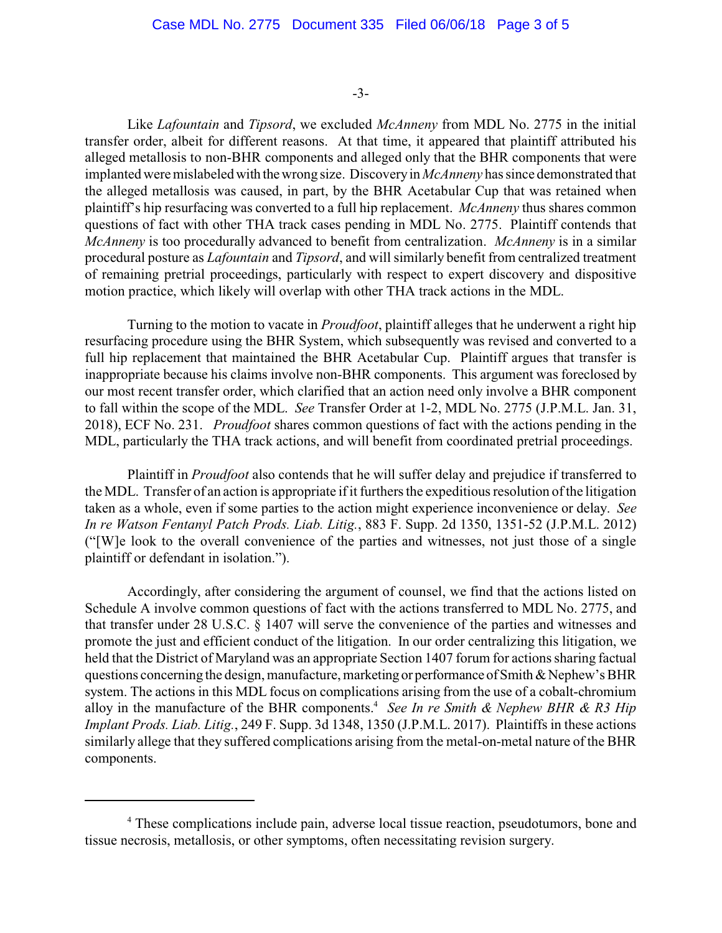-3-

Like *Lafountain* and *Tipsord*, we excluded *McAnneny* from MDL No. 2775 in the initial transfer order, albeit for different reasons. At that time, it appeared that plaintiff attributed his alleged metallosis to non-BHR components and alleged only that the BHR components that were implanted were mislabeledwith the wrong size. Discoveryin *McAnneny* has since demonstrated that the alleged metallosis was caused, in part, by the BHR Acetabular Cup that was retained when plaintiff's hip resurfacing was converted to a full hip replacement. *McAnneny* thus shares common questions of fact with other THA track cases pending in MDL No. 2775. Plaintiff contends that *McAnneny* is too procedurally advanced to benefit from centralization. *McAnneny* is in a similar procedural posture as *Lafountain* and *Tipsord*, and will similarly benefit from centralized treatment of remaining pretrial proceedings, particularly with respect to expert discovery and dispositive motion practice, which likely will overlap with other THA track actions in the MDL.

Turning to the motion to vacate in *Proudfoot*, plaintiff alleges that he underwent a right hip resurfacing procedure using the BHR System, which subsequently was revised and converted to a full hip replacement that maintained the BHR Acetabular Cup. Plaintiff argues that transfer is inappropriate because his claims involve non-BHR components. This argument was foreclosed by our most recent transfer order, which clarified that an action need only involve a BHR component to fall within the scope of the MDL. *See* Transfer Order at 1-2, MDL No. 2775 (J.P.M.L. Jan. 31, 2018), ECF No. 231. *Proudfoot* shares common questions of fact with the actions pending in the MDL, particularly the THA track actions, and will benefit from coordinated pretrial proceedings.

Plaintiff in *Proudfoot* also contends that he will suffer delay and prejudice if transferred to the MDL. Transfer of an action is appropriate if it furthers the expeditious resolution of the litigation taken as a whole, even if some parties to the action might experience inconvenience or delay. *See In re Watson Fentanyl Patch Prods. Liab. Litig.*, 883 F. Supp. 2d 1350, 1351-52 (J.P.M.L. 2012) ("[W]e look to the overall convenience of the parties and witnesses, not just those of a single plaintiff or defendant in isolation.").

Accordingly, after considering the argument of counsel, we find that the actions listed on Schedule A involve common questions of fact with the actions transferred to MDL No. 2775, and that transfer under 28 U.S.C. § 1407 will serve the convenience of the parties and witnesses and promote the just and efficient conduct of the litigation. In our order centralizing this litigation, we held that the District of Maryland was an appropriate Section 1407 forum for actions sharing factual questions concerning the design, manufacture, marketing or performance ofSmith&Nephew's BHR system. The actions in this MDL focus on complications arising from the use of a cobalt-chromium alloy in the manufacture of the BHR components.<sup>4</sup> See In re Smith & Nephew BHR & R3 Hip *Implant Prods. Liab. Litig.*, 249 F. Supp. 3d 1348, 1350 (J.P.M.L. 2017). Plaintiffs in these actions similarly allege that they suffered complications arising from the metal-on-metal nature of the BHR components.

<sup>&</sup>lt;sup>4</sup> These complications include pain, adverse local tissue reaction, pseudotumors, bone and tissue necrosis, metallosis, or other symptoms, often necessitating revision surgery.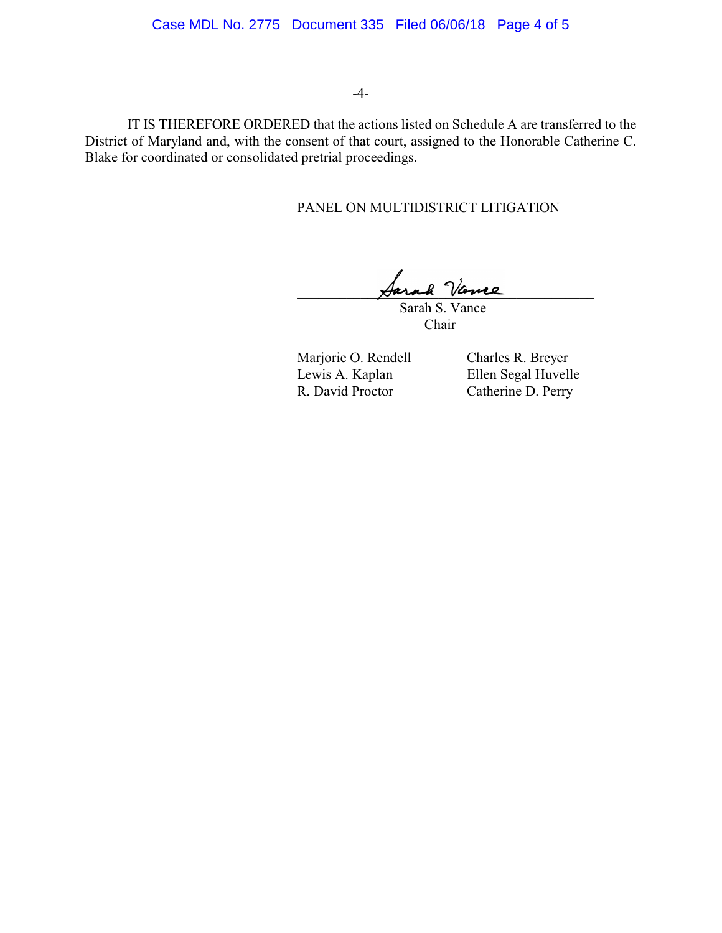### Case MDL No. 2775 Document 335 Filed 06/06/18 Page 4 of 5

#### -4-

IT IS THEREFORE ORDERED that the actions listed on Schedule A are transferred to the District of Maryland and, with the consent of that court, assigned to the Honorable Catherine C. Blake for coordinated or consolidated pretrial proceedings.

#### PANEL ON MULTIDISTRICT LITIGATION

Sarah Vance

 Sarah S. Vance Chair

Marjorie O. Rendell Charles R. Breyer<br>Lewis A. Kaplan Ellen Segal Huvell R. David Proctor Catherine D. Perry

Ellen Segal Huvelle